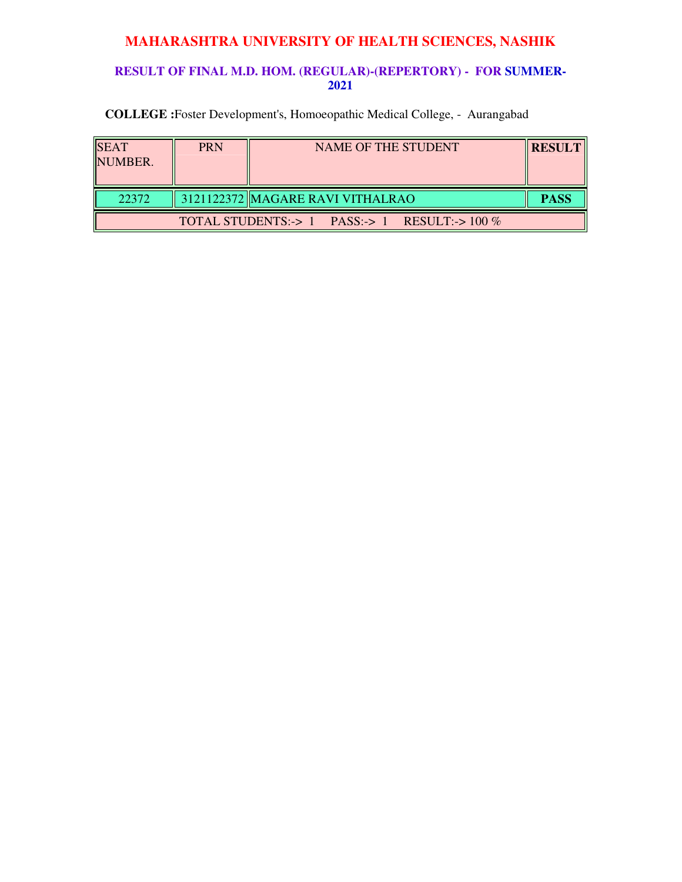### **RESULT OF FINAL M.D. HOM. (REGULAR)-(REPERTORY) - FOR SUMMER-2021**

| <b>SEAT</b><br><b>NUMBER.</b> | <b>PRN</b> | NAME OF THE STUDENT                                 | <b>IRESULT</b> |
|-------------------------------|------------|-----------------------------------------------------|----------------|
| 22372                         |            | 3121122372 MAGARE RAVI VITHALRAO                    | <b>PASS</b>    |
|                               |            | TOTAL STUDENTS:-> $1$ PASS:-> $1$ RESULT:-> $100\%$ |                |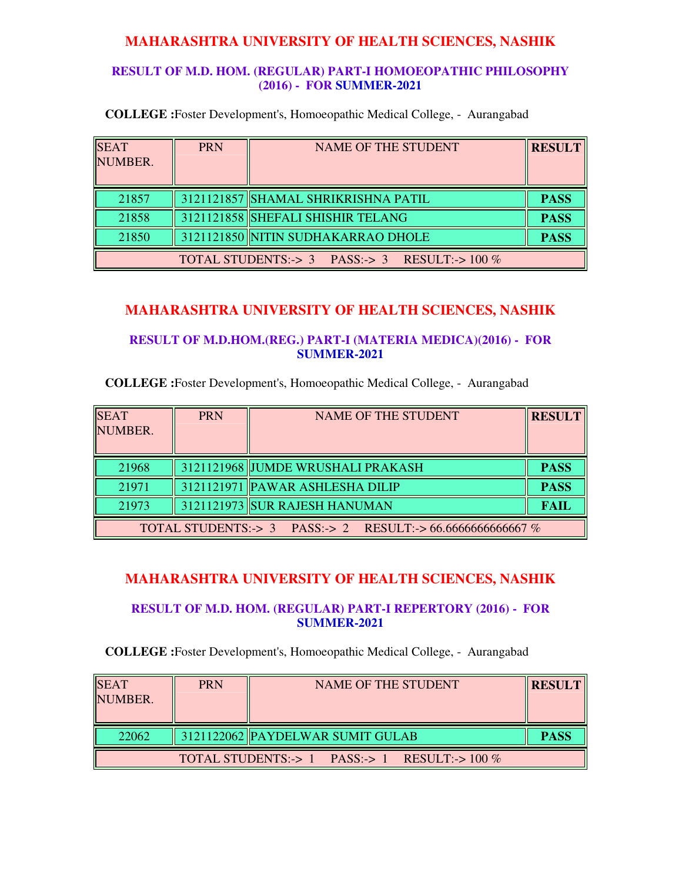### **RESULT OF M.D. HOM. (REGULAR) PART-I HOMOEOPATHIC PHILOSOPHY (2016) - FOR SUMMER-2021**

**COLLEGE :**Foster Development's, Homoeopathic Medical College, - Aurangabad

| <b>SEAT</b><br>NUMBER. | <b>PRN</b> | <b>NAME OF THE STUDENT</b>                    | <b>RESULT</b> |
|------------------------|------------|-----------------------------------------------|---------------|
| 21857                  |            | 3121121857 SHAMAL SHRIKRISHNA PATIL           | <b>PASS</b>   |
| 21858                  |            | 3121121858 SHEFALI SHISHIR TELANG             | <b>PASS</b>   |
| 21850                  |            | 3121121850 NITIN SUDHAKARRAO DHOLE            | <b>PASS</b>   |
|                        |            | TOTAL STUDENTS:-> 3 PASS:-> 3 RESULT:-> 100 % |               |

# **MAHARASHTRA UNIVERSITY OF HEALTH SCIENCES, NASHIK**

**RESULT OF M.D.HOM.(REG.) PART-I (MATERIA MEDICA)(2016) - FOR SUMMER-2021**

**COLLEGE :**Foster Development's, Homoeopathic Medical College, - Aurangabad

| <b>SEAT</b><br>NUMBER.                                      | <b>PRN</b> | <b>NAME OF THE STUDENT</b>        | <b>RESULT</b> |
|-------------------------------------------------------------|------------|-----------------------------------|---------------|
| 21968                                                       |            | 3121121968 JUMDE WRUSHALI PRAKASH | <b>PASS</b>   |
|                                                             |            |                                   |               |
| 21971                                                       |            | 3121121971 PAWAR ASHLESHA DILIP   | <b>PASS</b>   |
| 21973                                                       |            | 3121121973 SUR RAJESH HANUMAN     | <b>FAIL</b>   |
| TOTAL STUDENTS:-> 3 PASS:-> 2 RESULT:-> 66.66666666666667 % |            |                                   |               |

### **MAHARASHTRA UNIVERSITY OF HEALTH SCIENCES, NASHIK**

#### **RESULT OF M.D. HOM. (REGULAR) PART-I REPERTORY (2016) - FOR SUMMER-2021**

| <b>SEAT</b><br>NUMBER.                        | <b>PRN</b> | NAME OF THE STUDENT              | <b>RESULT</b> |  |
|-----------------------------------------------|------------|----------------------------------|---------------|--|
| 22062                                         |            | 3121122062 PAYDELWAR SUMIT GULAB | <b>PASS</b>   |  |
| TOTAL STUDENTS:-> 1 PASS:-> 1 RESULT:-> 100 % |            |                                  |               |  |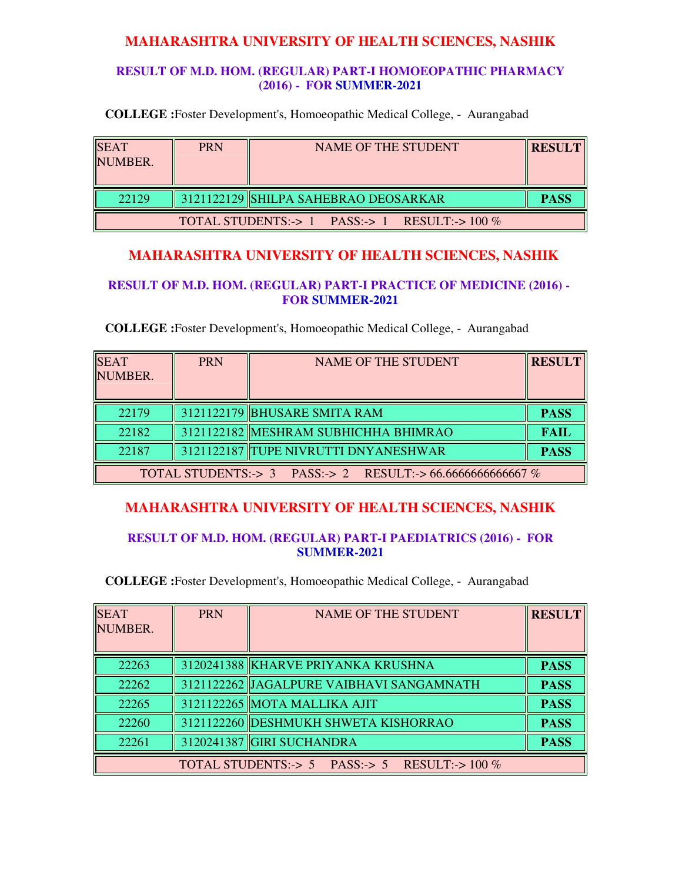### **RESULT OF M.D. HOM. (REGULAR) PART-I HOMOEOPATHIC PHARMACY (2016) - FOR SUMMER-2021**

**COLLEGE :**Foster Development's, Homoeopathic Medical College, - Aurangabad

| <b>SEAT</b><br>NUMBER. | <b>PRN</b>                                          | NAME OF THE STUDENT                              | <b>RESULT</b> |  |  |
|------------------------|-----------------------------------------------------|--------------------------------------------------|---------------|--|--|
| 22129                  |                                                     | $\parallel$ 3121122129 SHILPA SAHEBRAO DEOSARKAR | <b>PASS</b>   |  |  |
|                        | TOTAL STUDENTS:-> $1$ PASS:-> $1$ RESULT:-> $100\%$ |                                                  |               |  |  |

# **MAHARASHTRA UNIVERSITY OF HEALTH SCIENCES, NASHIK**

### **RESULT OF M.D. HOM. (REGULAR) PART-I PRACTICE OF MEDICINE (2016) - FOR SUMMER-2021**

**COLLEGE :**Foster Development's, Homoeopathic Medical College, - Aurangabad

| <b>SEAT</b><br>NUMBER.                                      | <b>PRN</b> | <b>NAME OF THE STUDENT</b>           | <b>RESULT</b> |
|-------------------------------------------------------------|------------|--------------------------------------|---------------|
| 22179                                                       |            | 3121122179 BHUSARE SMITA RAM         | <b>PASS</b>   |
| 22182                                                       |            | 3121122182 MESHRAM SUBHICHHA BHIMRAO | <b>FAIL</b>   |
| 22187                                                       |            | 3121122187 TUPE NIVRUTTI DNYANESHWAR | <b>PASS</b>   |
| TOTAL STUDENTS:-> 3 PASS:-> 2 RESULT:-> 66.66666666666667 % |            |                                      |               |

# **MAHARASHTRA UNIVERSITY OF HEALTH SCIENCES, NASHIK**

#### **RESULT OF M.D. HOM. (REGULAR) PART-I PAEDIATRICS (2016) - FOR SUMMER-2021**

| <b>SEAT</b><br>NUMBER. | <b>PRN</b> | <b>NAME OF THE STUDENT</b>                    | <b>RESULT</b> |
|------------------------|------------|-----------------------------------------------|---------------|
| 22263                  |            | 3120241388 KHARVE PRIYANKA KRUSHNA            | <b>PASS</b>   |
| 22262                  |            | 3121122262 JJAGALPURE VAIBHAVI SANGAMNATH     | <b>PASS</b>   |
| 22265                  |            | 3121122265 MOTA MALLIKA AJIT                  | <b>PASS</b>   |
| 22260                  |            | 3121122260 DESHMUKH SHWETA KISHORRAO          | <b>PASS</b>   |
| 22261                  |            | 3120241387 GIRI SUCHANDRA                     | <b>PASS</b>   |
|                        |            | TOTAL STUDENTS:-> 5 PASS:-> 5 RESULT:-> 100 % |               |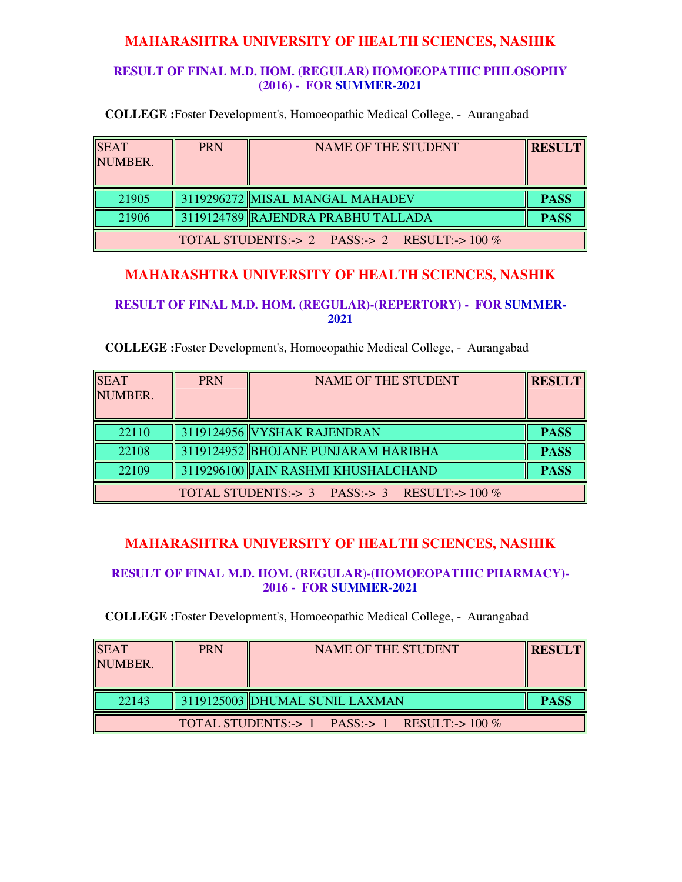### **RESULT OF FINAL M.D. HOM. (REGULAR) HOMOEOPATHIC PHILOSOPHY (2016) - FOR SUMMER-2021**

**COLLEGE :**Foster Development's, Homoeopathic Medical College, - Aurangabad

| <b>SEAT</b><br>NUMBER.                          | <b>PRN</b> | NAME OF THE STUDENT                | <b>RESULT</b> |  |
|-------------------------------------------------|------------|------------------------------------|---------------|--|
| 21905                                           |            | 3119296272 MISAL MANGAL MAHADEV    | <b>PASS</b>   |  |
| 21906                                           |            | 3119124789 RAJENDRA PRABHU TALLADA | <b>PASS</b>   |  |
| TOTAL STUDENTS:-> 2 PASS:-> 2 RESULT:-> $100\%$ |            |                                    |               |  |

# **MAHARASHTRA UNIVERSITY OF HEALTH SCIENCES, NASHIK**

#### **RESULT OF FINAL M.D. HOM. (REGULAR)-(REPERTORY) - FOR SUMMER-2021**

#### **COLLEGE :**Foster Development's, Homoeopathic Medical College, - Aurangabad

| <b>SEAT</b><br>NUMBER. | <b>PRN</b> | <b>NAME OF THE STUDENT</b>                                                        | <b>RESULT</b> |
|------------------------|------------|-----------------------------------------------------------------------------------|---------------|
| 22110                  |            | 3119124956 VYSHAK RAJENDRAN                                                       | <b>PASS</b>   |
| 22108                  |            | 3119124952 BHOJANE PUNJARAM HARIBHA                                               | <b>PASS</b>   |
| 22109                  |            | 3119296100 JAIN RASHMI KHUSHALCHAND                                               | <b>PASS</b>   |
|                        |            | TOTAL STUDENTS: $\rightarrow$ 3 PASS: $\rightarrow$ 3 RESULT: $\rightarrow$ 100 % |               |

# **MAHARASHTRA UNIVERSITY OF HEALTH SCIENCES, NASHIK**

### **RESULT OF FINAL M.D. HOM. (REGULAR)-(HOMOEOPATHIC PHARMACY)- 2016 - FOR SUMMER-2021**

| <b>SEAT</b><br>NUMBER.                        | <b>PRN</b> | NAME OF THE STUDENT            | <b>RESULT</b> |  |
|-----------------------------------------------|------------|--------------------------------|---------------|--|
| 22143                                         |            | 3119125003 DHUMAL SUNIL LAXMAN | <b>PASS</b>   |  |
| TOTAL STUDENTS:-> 1 PASS:-> 1 RESULT:-> 100 % |            |                                |               |  |